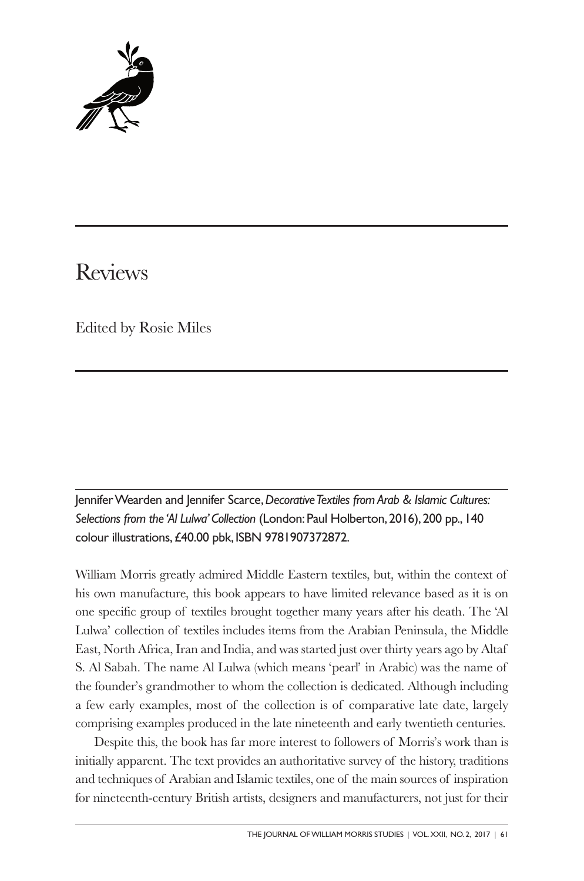

# Reviews

Edited by Rosie Miles

JenniferWearden and Jennifer Scarce,*DecorativeTextiles fromArab & Islamic Cultures: Selections from the 'Al Lulwa'Collection* (London:Paul Holberton, 2016), 200 pp., 140 colour illustrations,£40.00 pbk, ISBN 9781907372872.

William Morris greatly admired Middle Eastern textiles, but, within the context of his own manufacture, this book appears to have limited relevance based as it is on one specific group of textiles brought together many years after his death. The 'Al Lulwa' collection of textiles includes items from the Arabian Peninsula, the Middle East, North Africa, Iran and India, and was started just over thirty years ago by Altaf S. Al Sabah. The name Al Lulwa (which means 'pearl' in Arabic) was the name of the founder's grandmother to whom the collection is dedicated. Although including a few early examples, most of the collection is of comparative late date, largely comprising examples produced in the late nineteenth and early twentieth centuries.

Despite this, the book has far more interest to followers of Morris's work than is initially apparent. The text provides an authoritative survey of the history, traditions and techniques of Arabian and Islamic textiles, one of the main sources of inspiration for nineteenth-century British artists, designers and manufacturers, not just for their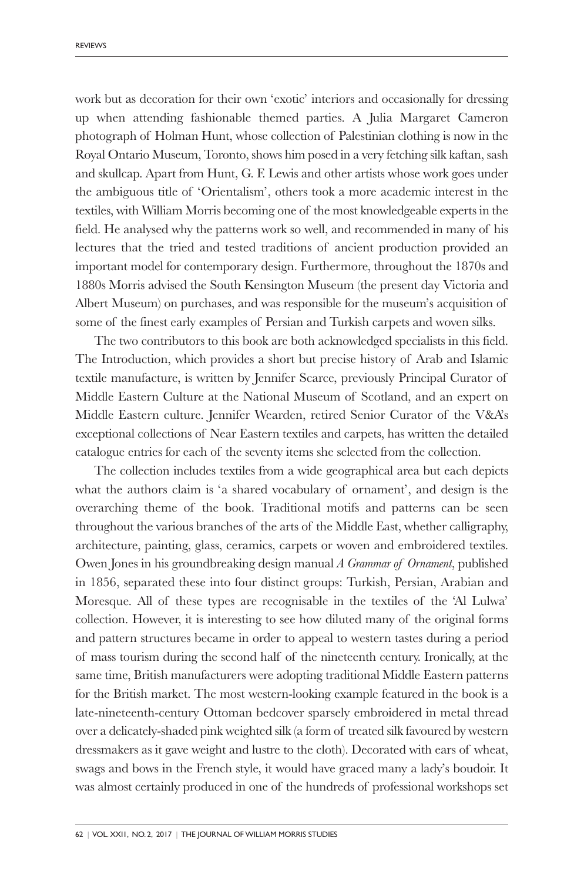work but as decoration for their own 'exotic' interiors and occasionally for dressing up when attending fashionable themed parties. A Julia Margaret Cameron photograph of Holman Hunt, whose collection of Palestinian clothing is now in the Royal Ontario Museum, Toronto, shows him posed in a very fetching silk kaftan, sash and skullcap. Apart from Hunt, G. F. Lewis and other artists whose work goes under the ambiguous title of 'Orientalism', others took a more academic interest in the textiles, with William Morris becoming one of the most knowledgeable experts in the field. He analysed why the patterns work so well, and recommended in many of his lectures that the tried and tested traditions of ancient production provided an important model for contemporary design. Furthermore, throughout the 1870s and 1880s Morris advised the South Kensington Museum (the present day Victoria and Albert Museum) on purchases, and was responsible for the museum's acquisition of some of the finest early examples of Persian and Turkish carpets and woven silks.

The two contributors to this book are both acknowledged specialists in this field. The Introduction, which provides a short but precise history of Arab and Islamic textile manufacture, is written by Jennifer Scarce, previously Principal Curator of Middle Eastern Culture at the National Museum of Scotland, and an expert on Middle Eastern culture. Jennifer Wearden, retired Senior Curator of the V&A's exceptional collections of Near Eastern textiles and carpets, has written the detailed catalogue entries for each of the seventy items she selected from the collection.

The collection includes textiles from a wide geographical area but each depicts what the authors claim is 'a shared vocabulary of ornament', and design is the overarching theme of the book. Traditional motifs and patterns can be seen throughout the various branches of the arts of the Middle East, whether calligraphy, architecture, painting, glass, ceramics, carpets or woven and embroidered textiles. Owen Jones in his groundbreaking design manual *A Grammar of Ornament*, published in 1856, separated these into four distinct groups: Turkish, Persian, Arabian and Moresque. All of these types are recognisable in the textiles of the 'Al Lulwa' collection. However, it is interesting to see how diluted many of the original forms and pattern structures became in order to appeal to western tastes during a period of mass tourism during the second half of the nineteenth century. Ironically, at the same time, British manufacturers were adopting traditional Middle Eastern patterns for the British market. The most western-looking example featured in the book is a late-nineteenth-century Ottoman bedcover sparsely embroidered in metal thread over a delicately-shaded pink weighted silk (a form of treated silk favoured by western dressmakers as it gave weight and lustre to the cloth). Decorated with ears of wheat, swags and bows in the French style, it would have graced many a lady's boudoir. It was almost certainly produced in one of the hundreds of professional workshops set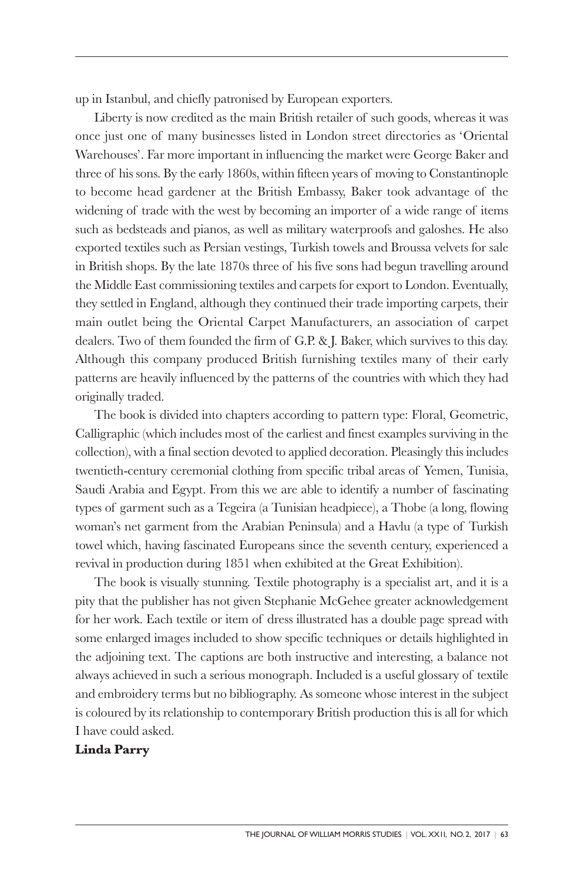up in Istanbul, and chiefly patronised by European exporters.

Liberty is now credited as the main British retailer of such goods, whereas it was once just one of many businesses listed in London street directories as 'Oriental Warehouses'. Far more important in influencing the market were George Baker and three of his sons. By the early 1860s, within fifteen years of moving to Constantinople to become head gardener at the British Embassy, Baker took advantage of the widening of trade with the west by becoming an importer of a wide range of items such as bedsteads and pianos, as well as military waterproofs and galoshes. He also exported textiles such as Persian vestings, Turkish towels and Broussa velvets for sale in British shops. By the late 1870s three of his five sons had begun travelling around the Middle East commissioning textiles and carpets for export to London. Eventually, they settled in England, although they continued their trade importing carpets, their main outlet being the Oriental Carpet Manufacturers, an association of carpet dealers. Two of them founded the firm of G.P. & J. Baker, which survives to this day. Although this company produced British furnishing textiles many of their early patterns are heavily influenced by the patterns of the countries with which they had originally traded.

The book is divided into chapters according to pattern type: Floral, Geometric, Calligraphic (which includes most of the earliest and finest examples surviving in the collection), with a final section devoted to applied decoration. Pleasingly this includes twentieth-century ceremonial clothing from specific tribal areas of Yemen, Tunisia, Saudi Arabia and Egypt. From this we are able to identify a number of fascinating types of garment such as a Tegeira (a Tunisian headpiece), a Thobe (a long, flowing woman's net garment from the Arabian Peninsula) and a Havlu (a type of Turkish towel which, having fascinated Europeans since the seventh century, experienced a revival in production during 1851 when exhibited at the Great Exhibition).

The book is visually stunning. Textile photography is a specialist art, and it is a pity that the publisher has not given Stephanie McGehee greater acknowledgement for her work. Each textile or item of dress illustrated has a double page spread with some enlarged images included to show specific techniques or details highlighted in the adjoining text. The captions are both instructive and interesting, a balance not always achieved in such a serious monograph. Included is a useful glossary of textile and embroidery terms but no bibliography. As someone whose interest in the subject is coloured by its relationship to contemporary British production this is all for which I have could asked.

**Linda Parry**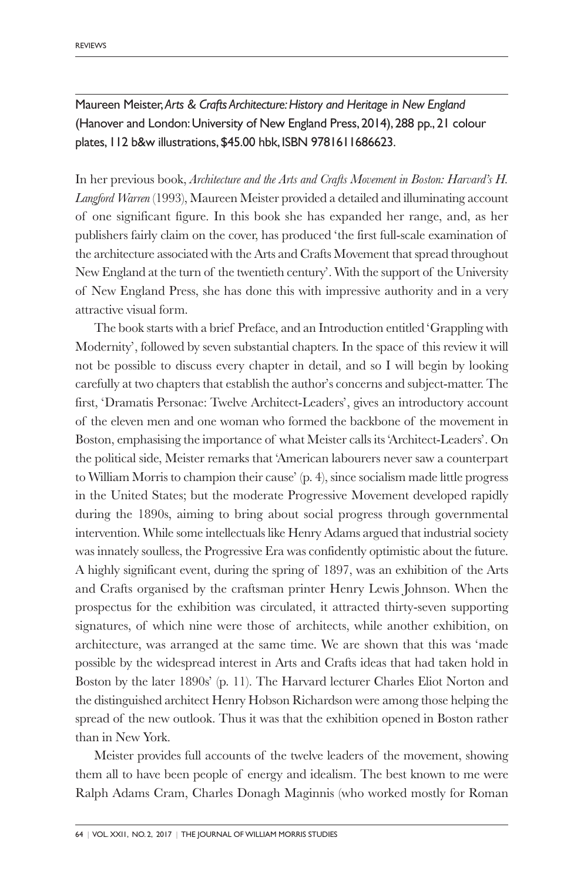Maureen Meister,*Arts & Crafts Architecture:History and Heritage in New England* (Hanover and London: University of New England Press, 2014), 288 pp., 21 colour plates, 112 b&w illustrations,\$45.00 hbk, ISBN 9781611686623.

In her previous book, *Architecture and the Arts and Crafts Movement in Boston: Harvard's H. Langford Warren* (1993), Maureen Meister provided a detailed and illuminating account of one significant figure. In this book she has expanded her range, and, as her publishers fairly claim on the cover, has produced 'the first full-scale examination of the architecture associated with the Arts and Crafts Movement that spread throughout New England at the turn of the twentieth century'. With the support of the University of New England Press, she has done this with impressive authority and in a very attractive visual form.

The book starts with a brief Preface, and an Introduction entitled 'Grappling with Modernity', followed by seven substantial chapters. In the space of this review it will not be possible to discuss every chapter in detail, and so I will begin by looking carefully at two chapters that establish the author's concerns and subject-matter. The first, 'Dramatis Personae: Twelve Architect-Leaders', gives an introductory account of the eleven men and one woman who formed the backbone of the movement in Boston, emphasising the importance of what Meister calls its 'Architect-Leaders'. On the political side, Meister remarks that 'American labourers never saw a counterpart to William Morris to champion their cause' (p. 4), since socialism made little progress in the United States; but the moderate Progressive Movement developed rapidly during the 1890s, aiming to bring about social progress through governmental intervention. While some intellectuals like Henry Adams argued that industrial society was innately soulless, the Progressive Era was confidently optimistic about the future. A highly significant event, during the spring of 1897, was an exhibition of the Arts and Crafts organised by the craftsman printer Henry Lewis Johnson. When the prospectus for the exhibition was circulated, it attracted thirty-seven supporting signatures, of which nine were those of architects, while another exhibition, on architecture, was arranged at the same time. We are shown that this was 'made possible by the widespread interest in Arts and Crafts ideas that had taken hold in Boston by the later 1890s' (p. 11). The Harvard lecturer Charles Eliot Norton and the distinguished architect Henry Hobson Richardson were among those helping the spread of the new outlook. Thus it was that the exhibition opened in Boston rather than in New York.

Meister provides full accounts of the twelve leaders of the movement, showing them all to have been people of energy and idealism. The best known to me were Ralph Adams Cram, Charles Donagh Maginnis (who worked mostly for Roman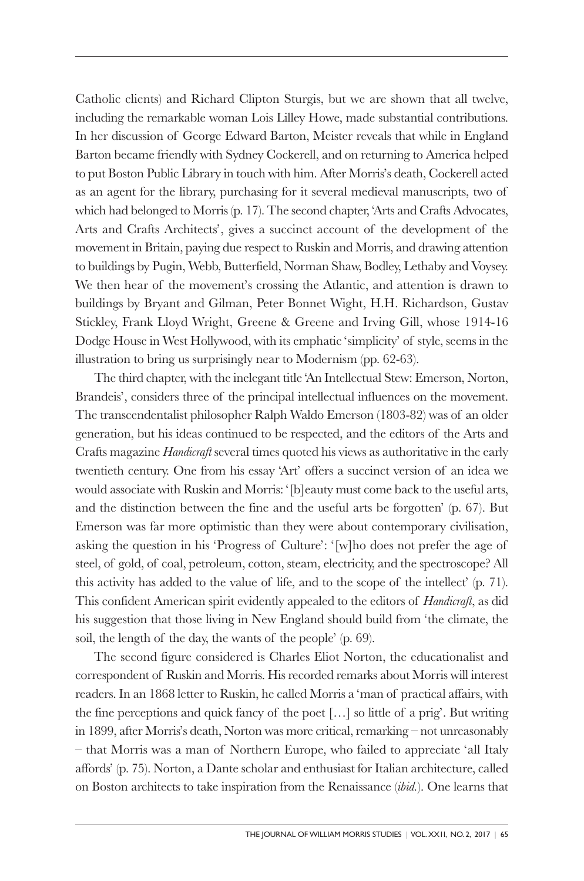Catholic clients) and Richard Clipton Sturgis, but we are shown that all twelve, including the remarkable woman Lois Lilley Howe, made substantial contributions. In her discussion of George Edward Barton, Meister reveals that while in England Barton became friendly with Sydney Cockerell, and on returning to America helped to put Boston Public Library in touch with him. After Morris's death, Cockerell acted as an agent for the library, purchasing for it several medieval manuscripts, two of which had belonged to Morris (p. 17). The second chapter, 'Arts and Crafts Advocates, Arts and Crafts Architects', gives a succinct account of the development of the movement in Britain, paying due respect to Ruskin and Morris, and drawing attention to buildings by Pugin, Webb, Butterfield, Norman Shaw, Bodley, Lethaby and Voysey. We then hear of the movement's crossing the Atlantic, and attention is drawn to buildings by Bryant and Gilman, Peter Bonnet Wight, H.H. Richardson, Gustav Stickley, Frank Lloyd Wright, Greene & Greene and Irving Gill, whose 1914-16 Dodge House in West Hollywood, with its emphatic 'simplicity' of style, seems in the illustration to bring us surprisingly near to Modernism (pp. 62-63).

The third chapter, with the inelegant title 'An Intellectual Stew: Emerson, Norton, Brandeis', considers three of the principal intellectual influences on the movement. The transcendentalist philosopher Ralph Waldo Emerson (1803-82) was of an older generation, but his ideas continued to be respected, and the editors of the Arts and Crafts magazine *Handicraft* several times quoted his views as authoritative in the early twentieth century. One from his essay 'Art' offers a succinct version of an idea we would associate with Ruskin and Morris: '[b]eauty must come back to the useful arts, and the distinction between the fine and the useful arts be forgotten' (p. 67). But Emerson was far more optimistic than they were about contemporary civilisation, asking the question in his 'Progress of Culture': '[w]ho does not prefer the age of steel, of gold, of coal, petroleum, cotton, steam, electricity, and the spectroscope? All this activity has added to the value of life, and to the scope of the intellect' (p. 71). This confident American spirit evidently appealed to the editors of *Handicraft*, as did his suggestion that those living in New England should build from 'the climate, the soil, the length of the day, the wants of the people' (p. 69).

The second figure considered is Charles Eliot Norton, the educationalist and correspondent of Ruskin and Morris. His recorded remarks about Morris will interest readers. In an 1868 letter to Ruskin, he called Morris a 'man of practical affairs, with the fine perceptions and quick fancy of the poet […] so little of a prig'. But writing in 1899, after Morris's death, Norton was more critical, remarking – not unreasonably – that Morris was a man of Northern Europe, who failed to appreciate 'all Italy affords' (p. 75). Norton, a Dante scholar and enthusiast for Italian architecture, called on Boston architects to take inspiration from the Renaissance (*ibid.*). One learns that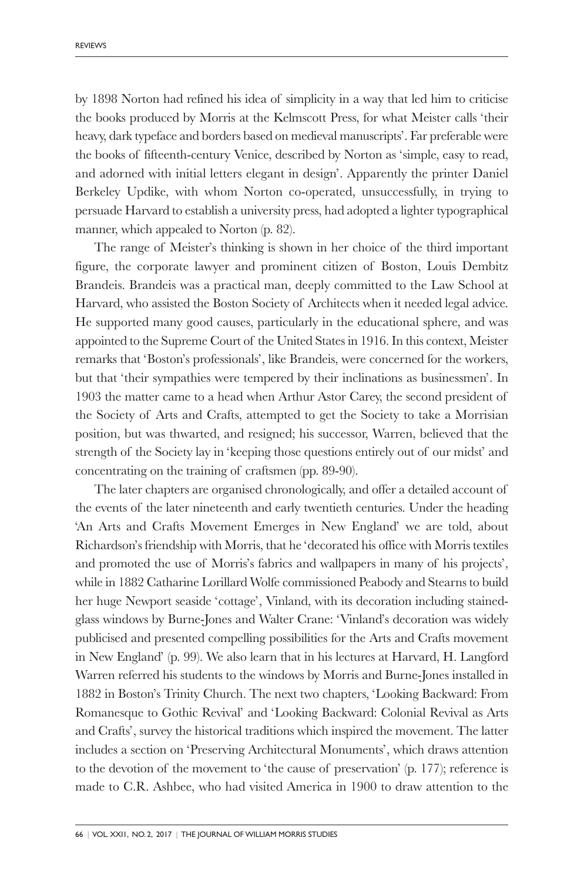by 1898 Norton had refined his idea of simplicity in a way that led him to criticise the books produced by Morris at the Kelmscott Press, for what Meister calls 'their heavy, dark typeface and borders based on medieval manuscripts'. Far preferable were the books of fifteenth-century Venice, described by Norton as 'simple, easy to read, and adorned with initial letters elegant in design'. Apparently the printer Daniel Berkeley Updike, with whom Norton co-operated, unsuccessfully, in trying to persuade Harvard to establish a university press, had adopted a lighter typographical manner, which appealed to Norton (p. 82).

The range of Meister's thinking is shown in her choice of the third important figure, the corporate lawyer and prominent citizen of Boston, Louis Dembitz Brandeis. Brandeis was a practical man, deeply committed to the Law School at Harvard, who assisted the Boston Society of Architects when it needed legal advice. He supported many good causes, particularly in the educational sphere, and was appointed to the Supreme Court of the United States in 1916. In this context, Meister remarks that 'Boston's professionals', like Brandeis, were concerned for the workers, but that 'their sympathies were tempered by their inclinations as businessmen'. In 1903 the matter came to a head when Arthur Astor Carey, the second president of the Society of Arts and Crafts, attempted to get the Society to take a Morrisian position, but was thwarted, and resigned; his successor, Warren, believed that the strength of the Society lay in 'keeping those questions entirely out of our midst' and concentrating on the training of craftsmen (pp. 89-90).

The later chapters are organised chronologically, and offer a detailed account of the events of the later nineteenth and early twentieth centuries. Under the heading 'An Arts and Crafts Movement Emerges in New England' we are told, about Richardson's friendship with Morris, that he 'decorated his office with Morris textiles and promoted the use of Morris's fabrics and wallpapers in many of his projects', while in 1882 Catharine Lorillard Wolfe commissioned Peabody and Stearns to build her huge Newport seaside 'cottage', Vinland, with its decoration including stainedglass windows by Burne-Jones and Walter Crane: 'Vinland's decoration was widely publicised and presented compelling possibilities for the Arts and Crafts movement in New England' (p. 99). We also learn that in his lectures at Harvard, H. Langford Warren referred his students to the windows by Morris and Burne-Jones installed in 1882 in Boston's Trinity Church. The next two chapters, 'Looking Backward: From Romanesque to Gothic Revival' and 'Looking Backward: Colonial Revival as Arts and Crafts', survey the historical traditions which inspired the movement. The latter includes a section on 'Preserving Architectural Monuments', which draws attention to the devotion of the movement to 'the cause of preservation' (p. 177); reference is made to C.R. Ashbee, who had visited America in 1900 to draw attention to the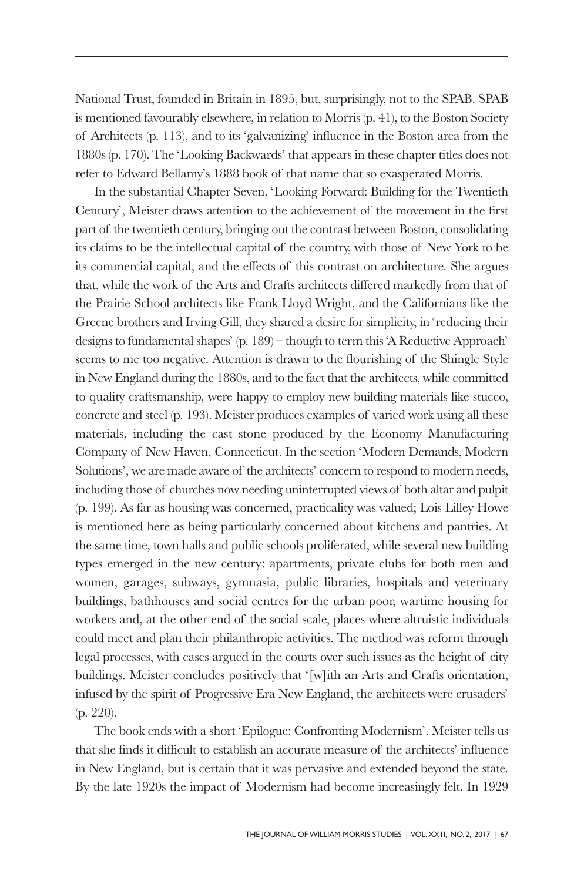National Trust, founded in Britain in 1895, but, surprisingly, not to the SPAB. SPAB is mentioned favourably elsewhere, in relation to Morris (p. 41), to the Boston Society of Architects (p. 113), and to its 'galvanizing' influence in the Boston area from the 1880s (p. 170). The 'Looking Backwards' that appears in these chapter titles does not refer to Edward Bellamy's 1888 book of that name that so exasperated Morris.

In the substantial Chapter Seven, 'Looking Forward: Building for the Twentieth Century', Meister draws attention to the achievement of the movement in the first part of the twentieth century, bringing out the contrast between Boston, consolidating its claims to be the intellectual capital of the country, with those of New York to be its commercial capital, and the effects of this contrast on architecture. She argues that, while the work of the Arts and Crafts architects differed markedly from that of the Prairie School architects like Frank Lloyd Wright, and the Californians like the Greene brothers and Irving Gill, they shared a desire for simplicity, in 'reducing their designs to fundamental shapes' (p. 189) – though to term this 'A Reductive Approach' seems to me too negative. Attention is drawn to the flourishing of the Shingle Style in New England during the 1880s, and to the fact that the architects, while committed to quality craftsmanship, were happy to employ new building materials like stucco, concrete and steel (p. 193). Meister produces examples of varied work using all these materials, including the cast stone produced by the Economy Manufacturing Company of New Haven, Connecticut. In the section 'Modern Demands, Modern Solutions', we are made aware of the architects' concern to respond to modern needs, including those of churches now needing uninterrupted views of both altar and pulpit (p. 199). As far as housing was concerned, practicality was valued; Lois Lilley Howe is mentioned here as being particularly concerned about kitchens and pantries. At the same time, town halls and public schools proliferated, while several new building types emerged in the new century: apartments, private clubs for both men and women, garages, subways, gymnasia, public libraries, hospitals and veterinary buildings, bathhouses and social centres for the urban poor, wartime housing for workers and, at the other end of the social scale, places where altruistic individuals could meet and plan their philanthropic activities. The method was reform through legal processes, with cases argued in the courts over such issues as the height of city buildings. Meister concludes positively that '[w]ith an Arts and Crafts orientation, infused by the spirit of Progressive Era New England, the architects were crusaders' (p. 220).

The book ends with a short 'Epilogue: Confronting Modernism'. Meister tells us that she finds it difficult to establish an accurate measure of the architects' influence in New England, but is certain that it was pervasive and extended beyond the state. By the late 1920s the impact of Modernism had become increasingly felt. In 1929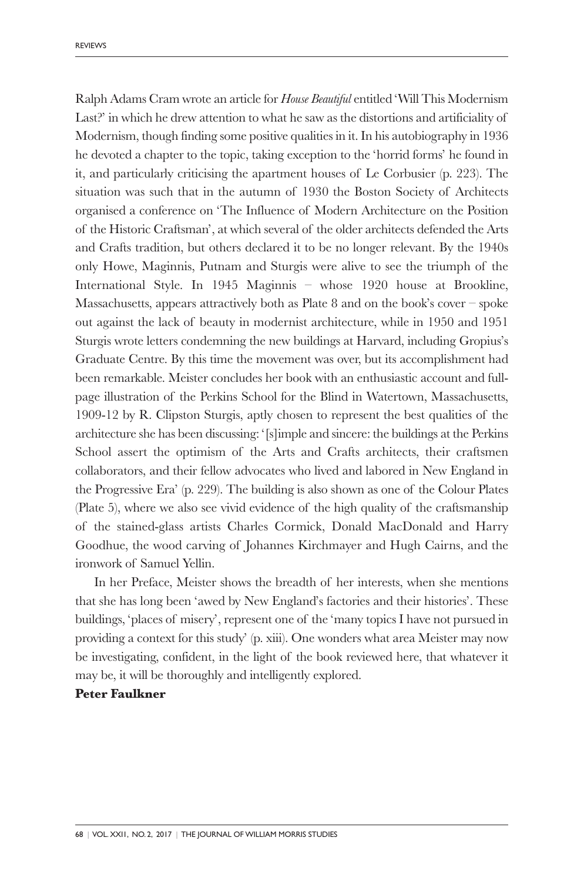Ralph Adams Cram wrote an article for *House Beautiful* entitled 'Will This Modernism Last?' in which he drew attention to what he saw as the distortions and artificiality of Modernism, though finding some positive qualities in it. In his autobiography in 1936 he devoted a chapter to the topic, taking exception to the 'horrid forms' he found in it, and particularly criticising the apartment houses of Le Corbusier (p. 223). The situation was such that in the autumn of 1930 the Boston Society of Architects organised a conference on 'The Influence of Modern Architecture on the Position of the Historic Craftsman', at which several of the older architects defended the Arts and Crafts tradition, but others declared it to be no longer relevant. By the 1940s only Howe, Maginnis, Putnam and Sturgis were alive to see the triumph of the International Style. In 1945 Maginnis – whose 1920 house at Brookline, Massachusetts, appears attractively both as Plate 8 and on the book's cover – spoke out against the lack of beauty in modernist architecture, while in 1950 and 1951 Sturgis wrote letters condemning the new buildings at Harvard, including Gropius's Graduate Centre. By this time the movement was over, but its accomplishment had been remarkable. Meister concludes her book with an enthusiastic account and fullpage illustration of the Perkins School for the Blind in Watertown, Massachusetts, 1909-12 by R. Clipston Sturgis, aptly chosen to represent the best qualities of the architecture she has been discussing: '[s]imple and sincere: the buildings at the Perkins School assert the optimism of the Arts and Crafts architects, their craftsmen collaborators, and their fellow advocates who lived and labored in New England in the Progressive Era' (p. 229). The building is also shown as one of the Colour Plates (Plate 5), where we also see vivid evidence of the high quality of the craftsmanship of the stained-glass artists Charles Cormick, Donald MacDonald and Harry Goodhue, the wood carving of Johannes Kirchmayer and Hugh Cairns, and the ironwork of Samuel Yellin.

In her Preface, Meister shows the breadth of her interests, when she mentions that she has long been 'awed by New England's factories and their histories'. These buildings, 'places of misery', represent one of the 'many topics I have not pursued in providing a context for this study' (p. xiii). One wonders what area Meister may now be investigating, confident, in the light of the book reviewed here, that whatever it may be, it will be thoroughly and intelligently explored.

#### **Peter Faulkner**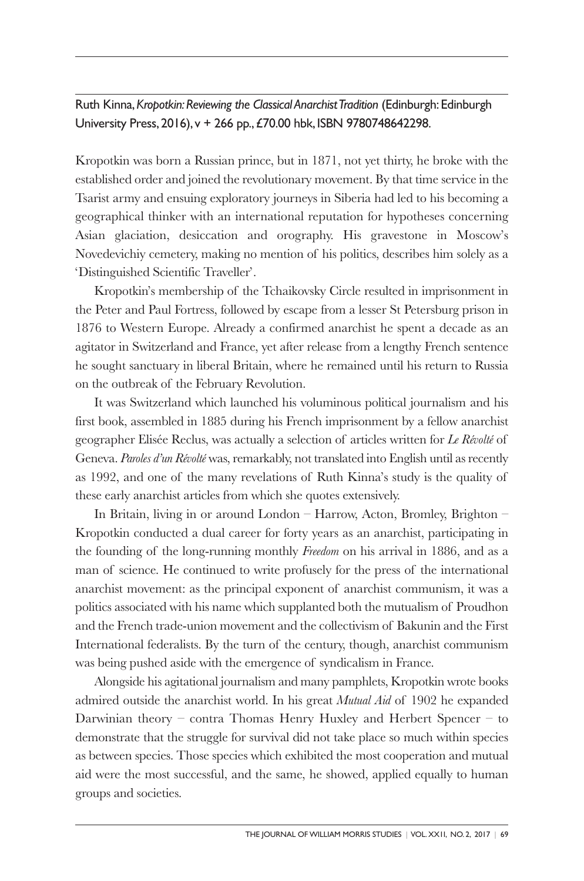Ruth Kinna,*Kropotkin:Reviewing the Classical AnarchistTradition* (Edinburgh: Edinburgh University Press, 2016), v + 266 pp.,£70.00 hbk, ISBN 9780748642298.

Kropotkin was born a Russian prince, but in 1871, not yet thirty, he broke with the established order and joined the revolutionary movement. By that time service in the Tsarist army and ensuing exploratory journeys in Siberia had led to his becoming a geographical thinker with an international reputation for hypotheses concerning Asian glaciation, desiccation and orography. His gravestone in Moscow's Novedevichiy cemetery, making no mention of his politics, describes him solely as a 'Distinguished Scientific Traveller'.

Kropotkin's membership of the Tchaikovsky Circle resulted in imprisonment in the Peter and Paul Fortress, followed by escape from a lesser St Petersburg prison in 1876 to Western Europe. Already a confirmed anarchist he spent a decade as an agitator in Switzerland and France, yet after release from a lengthy French sentence he sought sanctuary in liberal Britain, where he remained until his return to Russia on the outbreak of the February Revolution.

It was Switzerland which launched his voluminous political journalism and his first book, assembled in 1885 during his French imprisonment by a fellow anarchist geographer Elisée Reclus, was actually a selection of articles written for *Le Révolté* of Geneva. *Paroles d'un Révolté* was, remarkably, not translated into English until asrecently as 1992, and one of the many revelations of Ruth Kinna's study is the quality of these early anarchist articles from which she quotes extensively.

In Britain, living in or around London – Harrow, Acton, Bromley, Brighton – Kropotkin conducted a dual career for forty years as an anarchist, participating in the founding of the long-running monthly *Freedom* on his arrival in 1886, and as a man of science. He continued to write profusely for the press of the international anarchist movement: as the principal exponent of anarchist communism, it was a politics associated with his name which supplanted both the mutualism of Proudhon and the French trade-union movement and the collectivism of Bakunin and the First International federalists. By the turn of the century, though, anarchist communism was being pushed aside with the emergence of syndicalism in France.

Alongside his agitational journalism and many pamphlets, Kropotkin wrote books admired outside the anarchist world. In his great *Mutual Aid* of 1902 he expanded Darwinian theory – contra Thomas Henry Huxley and Herbert Spencer – to demonstrate that the struggle for survival did not take place so much within species as between species. Those species which exhibited the most cooperation and mutual aid were the most successful, and the same, he showed, applied equally to human groups and societies.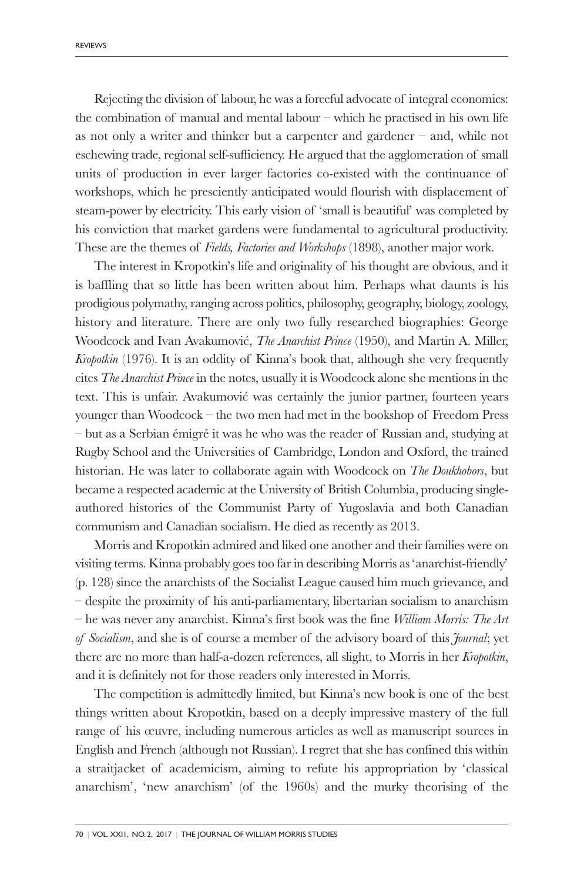Rejecting the division of labour, he was a forceful advocate of integral economics: the combination of manual and mental labour – which he practised in his own life as not only a writer and thinker but a carpenter and gardener – and, while not eschewing trade, regional self-sufficiency. He argued that the agglomeration of small units of production in ever larger factories co-existed with the continuance of workshops, which he presciently anticipated would flourish with displacement of steam-power by electricity. This early vision of 'small is beautiful' was completed by his conviction that market gardens were fundamental to agricultural productivity. These are the themes of *Fields, Factories and Workshops* (1898), another major work.

The interest in Kropotkin's life and originality of his thought are obvious, and it is baffling that so little has been written about him. Perhaps what daunts is his prodigious polymathy, ranging across politics, philosophy, geography, biology, zoology, history and literature. There are only two fully researched biographies: George Woodcock and Ivan Avakumović, *The Anarchist Prince* (1950), and Martin A. Miller, *Kropotkin* (1976). It is an oddity of Kinna's book that, although she very frequently cites *The Anarchist Prince* in the notes, usually it is Woodcock alone she mentions in the text. This is unfair. Avakumović was certainly the junior partner, fourteen years younger than Woodcock – the two men had met in the bookshop of Freedom Press – but as a Serbian émigré it was he who was the reader of Russian and, studying at Rugby School and the Universities of Cambridge, London and Oxford, the trained historian. He was later to collaborate again with Woodcock on *The Doukhobors*, but became a respected academic at the University of British Columbia, producing singleauthored histories of the Communist Party of Yugoslavia and both Canadian communism and Canadian socialism. He died as recently as 2013.

Morris and Kropotkin admired and liked one another and their families were on visiting terms. Kinna probably goes too far in describing Morris as 'anarchist-friendly' (p. 128) since the anarchists of the Socialist League caused him much grievance, and – despite the proximity of his anti-parliamentary, libertarian socialism to anarchism – he was never any anarchist. Kinna's first book was the fine *William Morris: The Art of Socialism*, and she is of course a member of the advisory board of this *Journal*; yet there are no more than half-a-dozen references, all slight, to Morris in her *Kropotkin*, and it is definitely not for those readers only interested in Morris.

The competition is admittedly limited, but Kinna's new book is one of the best things written about Kropotkin, based on a deeply impressive mastery of the full range of his œuvre, including numerous articles as well as manuscript sources in English and French (although not Russian). I regret that she has confined this within a straitjacket of academicism, aiming to refute his appropriation by 'classical anarchism', 'new anarchism' (of the 1960s) and the murky theorising of the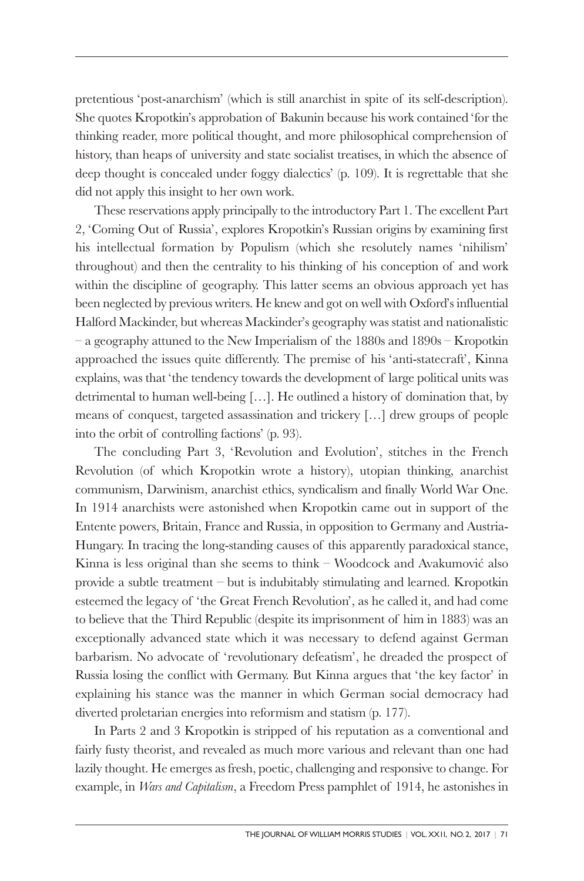pretentious 'post-anarchism' (which is still anarchist in spite of its self-description). She quotes Kropotkin's approbation of Bakunin because his work contained 'for the thinking reader, more political thought, and more philosophical comprehension of history, than heaps of university and state socialist treatises, in which the absence of deep thought is concealed under foggy dialectics' (p. 109). It is regrettable that she did not apply this insight to her own work.

These reservations apply principally to the introductory Part 1. The excellent Part 2, 'Coming Out of Russia', explores Kropotkin's Russian origins by examining first his intellectual formation by Populism (which she resolutely names 'nihilism' throughout) and then the centrality to his thinking of his conception of and work within the discipline of geography. This latter seems an obvious approach yet has been neglected by previous writers. He knew and got on well with Oxford's influential Halford Mackinder, but whereas Mackinder's geography was statist and nationalistic – a geography attuned to the New Imperialism of the 1880s and 1890s – Kropotkin approached the issues quite differently. The premise of his 'anti-statecraft', Kinna explains, was that 'the tendency towards the development of large political units was detrimental to human well-being […]. He outlined a history of domination that, by means of conquest, targeted assassination and trickery […] drew groups of people into the orbit of controlling factions' (p. 93).

The concluding Part 3, 'Revolution and Evolution', stitches in the French Revolution (of which Kropotkin wrote a history), utopian thinking, anarchist communism, Darwinism, anarchist ethics, syndicalism and finally World War One. In 1914 anarchists were astonished when Kropotkin came out in support of the Entente powers, Britain, France and Russia, in opposition to Germany and Austria-Hungary. In tracing the long-standing causes of this apparently paradoxical stance, Kinna is less original than she seems to think – Woodcock and Avakumović also provide a subtle treatment – but is indubitably stimulating and learned. Kropotkin esteemed the legacy of 'the Great French Revolution', as he called it, and had come to believe that the Third Republic (despite its imprisonment of him in 1883) was an exceptionally advanced state which it was necessary to defend against German barbarism. No advocate of 'revolutionary defeatism', he dreaded the prospect of Russia losing the conflict with Germany. But Kinna argues that 'the key factor' in explaining his stance was the manner in which German social democracy had diverted proletarian energies into reformism and statism (p. 177).

In Parts 2 and 3 Kropotkin is stripped of his reputation as a conventional and fairly fusty theorist, and revealed as much more various and relevant than one had lazily thought. He emerges as fresh, poetic, challenging and responsive to change. For example, in *Wars and Capitalism*, a Freedom Press pamphlet of 1914, he astonishes in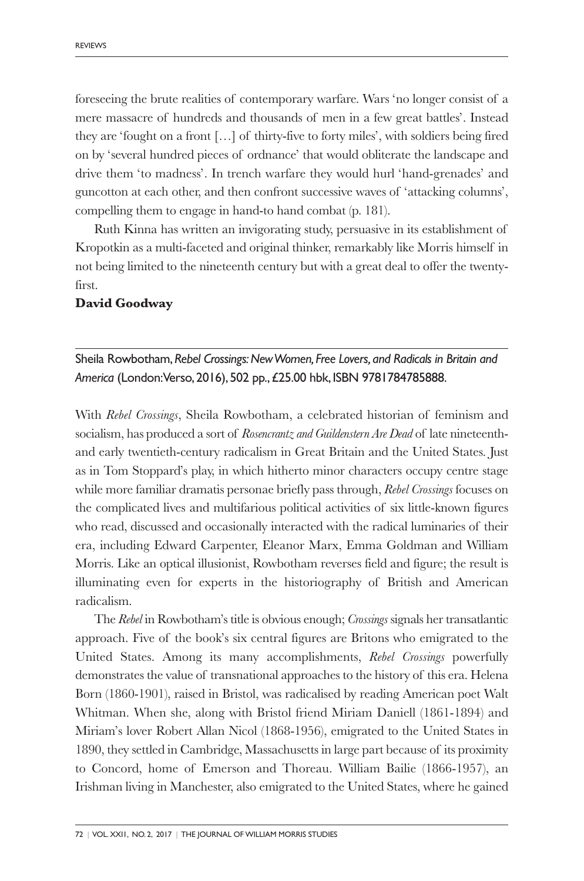foreseeing the brute realities of contemporary warfare. Wars 'no longer consist of a mere massacre of hundreds and thousands of men in a few great battles'. Instead they are 'fought on a front […] of thirty-five to forty miles', with soldiers being fired on by 'several hundred pieces of ordnance' that would obliterate the landscape and drive them 'to madness'. In trench warfare they would hurl 'hand-grenades' and guncotton at each other, and then confront successive waves of 'attacking columns', compelling them to engage in hand-to hand combat (p. 181).

Ruth Kinna has written an invigorating study, persuasive in its establishment of Kropotkin as a multi-faceted and original thinker, remarkably like Morris himself in not being limited to the nineteenth century but with a great deal to offer the twentyfirst.

#### **David Goodway**

Sheila Rowbotham,*Rebel Crossings:NewWomen, Free Lovers, and Radicals in Britain and America* (London:Verso, 2016), 502 pp.,£25.00 hbk, ISBN 9781784785888.

With *Rebel Crossings*, Sheila Rowbotham, a celebrated historian of feminism and socialism, has produced a sort of *Rosencrantz and Guildenstern Are Dead* of late nineteenthand early twentieth-century radicalism in Great Britain and the United States. Just as in Tom Stoppard's play, in which hitherto minor characters occupy centre stage while more familiar dramatis personae briefly pass through, *Rebel Crossings* focuses on the complicated lives and multifarious political activities of six little-known figures who read, discussed and occasionally interacted with the radical luminaries of their era, including Edward Carpenter, Eleanor Marx, Emma Goldman and William Morris. Like an optical illusionist, Rowbotham reverses field and figure; the result is illuminating even for experts in the historiography of British and American radicalism.

The *Rebel* in Rowbotham's title is obvious enough; *Crossings* signals her transatlantic approach. Five of the book's six central figures are Britons who emigrated to the United States. Among its many accomplishments, *Rebel Crossings* powerfully demonstrates the value of transnational approaches to the history of this era. Helena Born (1860-1901), raised in Bristol, was radicalised by reading American poet Walt Whitman. When she, along with Bristol friend Miriam Daniell (1861-1894) and Miriam's lover Robert Allan Nicol (1868-1956), emigrated to the United States in 1890, they settled in Cambridge, Massachusetts in large part because of its proximity to Concord, home of Emerson and Thoreau. William Bailie (1866-1957), an Irishman living in Manchester, also emigrated to the United States, where he gained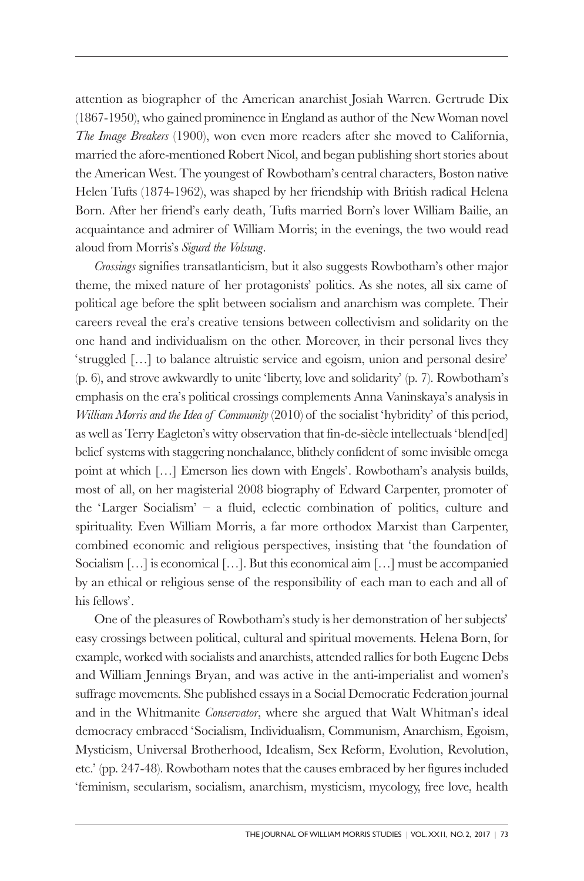attention as biographer of the American anarchist Josiah Warren. Gertrude Dix (1867-1950), who gained prominence in England as author of the New Woman novel *The Image Breakers* (1900), won even more readers after she moved to California, married the afore-mentioned Robert Nicol, and began publishing short stories about the American West. The youngest of Rowbotham's central characters, Boston native Helen Tufts (1874-1962), was shaped by her friendship with British radical Helena Born. After her friend's early death, Tufts married Born's lover William Bailie, an acquaintance and admirer of William Morris; in the evenings, the two would read aloud from Morris's *Sigurd the Volsung*.

*Crossings* signifies transatlanticism, but it also suggests Rowbotham's other major theme, the mixed nature of her protagonists' politics. As she notes, all six came of political age before the split between socialism and anarchism was complete. Their careers reveal the era's creative tensions between collectivism and solidarity on the one hand and individualism on the other. Moreover, in their personal lives they 'struggled […] to balance altruistic service and egoism, union and personal desire' (p. 6), and strove awkwardly to unite 'liberty, love and solidarity' (p. 7). Rowbotham's emphasis on the era's political crossings complements Anna Vaninskaya's analysis in *William Morris and the Idea of Community* (2010) of the socialist 'hybridity' of this period, as well as Terry Eagleton's witty observation that fin-de-siècle intellectuals 'blend[ed] belief systems with staggering nonchalance, blithely confident of some invisible omega point at which […] Emerson lies down with Engels'. Rowbotham's analysis builds, most of all, on her magisterial 2008 biography of Edward Carpenter, promoter of the 'Larger Socialism' – a fluid, eclectic combination of politics, culture and spirituality. Even William Morris, a far more orthodox Marxist than Carpenter, combined economic and religious perspectives, insisting that 'the foundation of Socialism […] is economical […]. But this economical aim […] must be accompanied by an ethical or religious sense of the responsibility of each man to each and all of his fellows'.

One of the pleasures of Rowbotham's study is her demonstration of her subjects' easy crossings between political, cultural and spiritual movements. Helena Born, for example, worked with socialists and anarchists, attended rallies for both Eugene Debs and William Jennings Bryan, and was active in the anti-imperialist and women's suffrage movements. She published essays in a Social Democratic Federation journal and in the Whitmanite *Conservator*, where she argued that Walt Whitman's ideal democracy embraced 'Socialism, Individualism, Communism, Anarchism, Egoism, Mysticism, Universal Brotherhood, Idealism, Sex Reform, Evolution, Revolution, etc.' (pp. 247-48). Rowbotham notes that the causes embraced by her figures included 'feminism, secularism, socialism, anarchism, mysticism, mycology, free love, health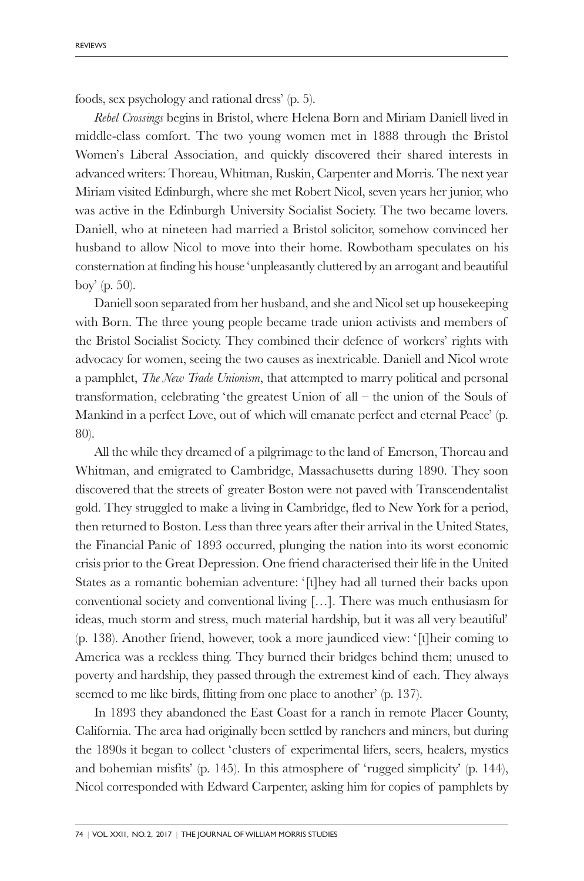foods, sex psychology and rational dress' (p. 5).

*Rebel Crossings* begins in Bristol, where Helena Born and Miriam Daniell lived in middle-class comfort. The two young women met in 1888 through the Bristol Women's Liberal Association, and quickly discovered their shared interests in advanced writers: Thoreau, Whitman, Ruskin, Carpenter and Morris. The next year Miriam visited Edinburgh, where she met Robert Nicol, seven years her junior, who was active in the Edinburgh University Socialist Society. The two became lovers. Daniell, who at nineteen had married a Bristol solicitor, somehow convinced her husband to allow Nicol to move into their home. Rowbotham speculates on his consternation at finding his house 'unpleasantly cluttered by an arrogant and beautiful boy' (p. 50).

Daniell soon separated from her husband, and she and Nicol set up housekeeping with Born. The three young people became trade union activists and members of the Bristol Socialist Society. They combined their defence of workers' rights with advocacy for women, seeing the two causes as inextricable. Daniell and Nicol wrote a pamphlet, *The New Trade Unionism*, that attempted to marry political and personal transformation, celebrating 'the greatest Union of all – the union of the Souls of Mankind in a perfect Love, out of which will emanate perfect and eternal Peace' (p. 80).

All the while they dreamed of a pilgrimage to the land of Emerson, Thoreau and Whitman, and emigrated to Cambridge, Massachusetts during 1890. They soon discovered that the streets of greater Boston were not paved with Transcendentalist gold. They struggled to make a living in Cambridge, fled to New York for a period, then returned to Boston. Less than three years after their arrival in the United States, the Financial Panic of 1893 occurred, plunging the nation into its worst economic crisis prior to the Great Depression. One friend characterised their life in the United States as a romantic bohemian adventure: '[t]hey had all turned their backs upon conventional society and conventional living […]. There was much enthusiasm for ideas, much storm and stress, much material hardship, but it was all very beautiful' (p. 138). Another friend, however, took a more jaundiced view: '[t]heir coming to America was a reckless thing. They burned their bridges behind them; unused to poverty and hardship, they passed through the extremest kind of each. They always seemed to me like birds, flitting from one place to another' (p. 137).

In 1893 they abandoned the East Coast for a ranch in remote Placer County, California. The area had originally been settled by ranchers and miners, but during the 1890s it began to collect 'clusters of experimental lifers, seers, healers, mystics and bohemian misfits' (p. 145). In this atmosphere of 'rugged simplicity' (p. 144), Nicol corresponded with Edward Carpenter, asking him for copies of pamphlets by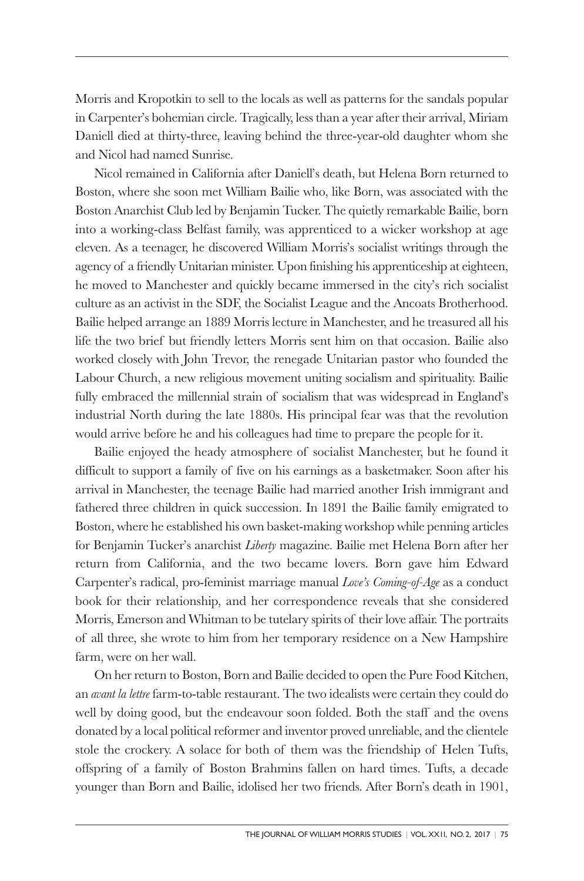Morris and Kropotkin to sell to the locals as well as patterns for the sandals popular in Carpenter's bohemian circle. Tragically, less than a year after their arrival, Miriam Daniell died at thirty-three, leaving behind the three-year-old daughter whom she and Nicol had named Sunrise.

Nicol remained in California after Daniell's death, but Helena Born returned to Boston, where she soon met William Bailie who, like Born, was associated with the Boston Anarchist Club led by Benjamin Tucker. The quietly remarkable Bailie, born into a working-class Belfast family, was apprenticed to a wicker workshop at age eleven. As a teenager, he discovered William Morris's socialist writings through the agency of a friendly Unitarian minister. Upon finishing his apprenticeship at eighteen, he moved to Manchester and quickly became immersed in the city's rich socialist culture as an activist in the SDF, the Socialist League and the Ancoats Brotherhood. Bailie helped arrange an 1889 Morris lecture in Manchester, and he treasured all his life the two brief but friendly letters Morris sent him on that occasion. Bailie also worked closely with John Trevor, the renegade Unitarian pastor who founded the Labour Church, a new religious movement uniting socialism and spirituality. Bailie fully embraced the millennial strain of socialism that was widespread in England's industrial North during the late 1880s. His principal fear was that the revolution would arrive before he and his colleagues had time to prepare the people for it.

Bailie enjoyed the heady atmosphere of socialist Manchester, but he found it difficult to support a family of five on his earnings as a basketmaker. Soon after his arrival in Manchester, the teenage Bailie had married another Irish immigrant and fathered three children in quick succession. In 1891 the Bailie family emigrated to Boston, where he established his own basket-making workshop while penning articles for Benjamin Tucker's anarchist *Liberty* magazine. Bailie met Helena Born after her return from California, and the two became lovers. Born gave him Edward Carpenter's radical, pro-feminist marriage manual *Love's Coming-of-Age* as a conduct book for their relationship, and her correspondence reveals that she considered Morris, Emerson and Whitman to be tutelary spirits of their love affair. The portraits of all three, she wrote to him from her temporary residence on a New Hampshire farm, were on her wall.

On her return to Boston, Born and Bailie decided to open the Pure Food Kitchen, an *avant la lettre* farm-to-table restaurant. The two idealists were certain they could do well by doing good, but the endeavour soon folded. Both the staff and the ovens donated by a local political reformer and inventor proved unreliable, and the clientele stole the crockery. A solace for both of them was the friendship of Helen Tufts, offspring of a family of Boston Brahmins fallen on hard times. Tufts, a decade younger than Born and Bailie, idolised her two friends. After Born's death in 1901,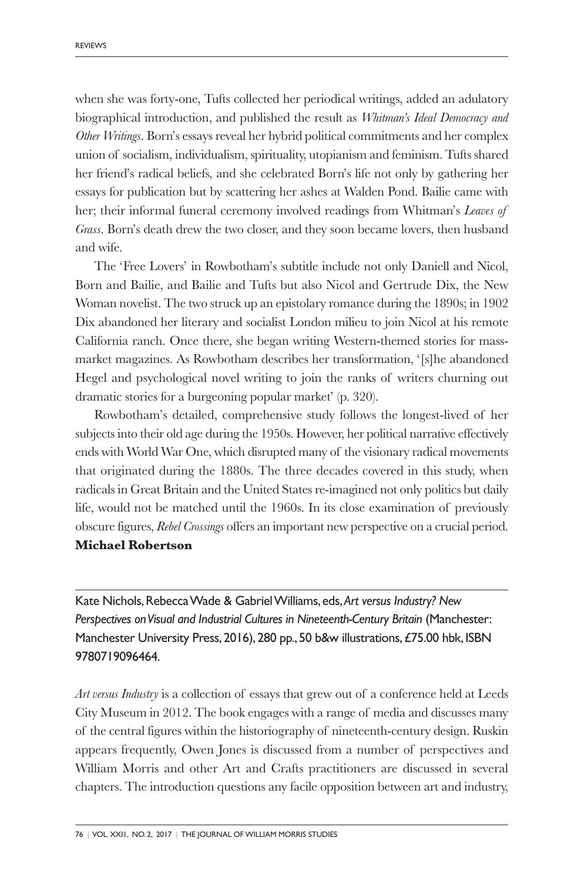when she was forty-one, Tufts collected her periodical writings, added an adulatory biographical introduction, and published the result as *Whitman's Ideal Democracy and Other Writings*. Born's essays reveal her hybrid political commitments and her complex union of socialism, individualism, spirituality, utopianism and feminism. Tufts shared her friend's radical beliefs, and she celebrated Born's life not only by gathering her essays for publication but by scattering her ashes at Walden Pond. Bailie came with her; their informal funeral ceremony involved readings from Whitman's *Leaves of Grass*. Born's death drew the two closer, and they soon became lovers, then husband and wife.

The 'Free Lovers' in Rowbotham's subtitle include not only Daniell and Nicol, Born and Bailie, and Bailie and Tufts but also Nicol and Gertrude Dix, the New Woman novelist. The two struck up an epistolary romance during the 1890s; in 1902 Dix abandoned her literary and socialist London milieu to join Nicol at his remote California ranch. Once there, she began writing Western-themed stories for massmarket magazines. As Rowbotham describes her transformation, '[s]he abandoned Hegel and psychological novel writing to join the ranks of writers churning out dramatic stories for a burgeoning popular market' (p. 320).

Rowbotham's detailed, comprehensive study follows the longest-lived of her subjects into their old age during the 1950s. However, her political narrative effectively ends with World War One, which disrupted many of the visionary radical movements that originated during the 1880s. The three decades covered in this study, when radicals in Great Britain and the United States re-imagined not only politics but daily life, would not be matched until the 1960s. In its close examination of previously obscure figures, *Rebel Crossings* offers an important new perspective on a crucial period.

#### **Michael Robertson**

Kate Nichols,RebeccaWade & GabrielWilliams, eds,*Art versus Industry? New Perspectives onVisual and Industrial Cultures in Nineteenth-Century Britain* (Manchester: Manchester University Press, 2016), 280 pp., 50 b&w illustrations,£75.00 hbk, ISBN 9780719096464.

*Art versus Industry* is a collection of essays that grew out of a conference held at Leeds City Museum in 2012. The book engages with a range of media and discusses many of the central figures within the historiography of nineteenth-century design. Ruskin appears frequently, Owen Jones is discussed from a number of perspectives and William Morris and other Art and Crafts practitioners are discussed in several chapters. The introduction questions any facile opposition between art and industry,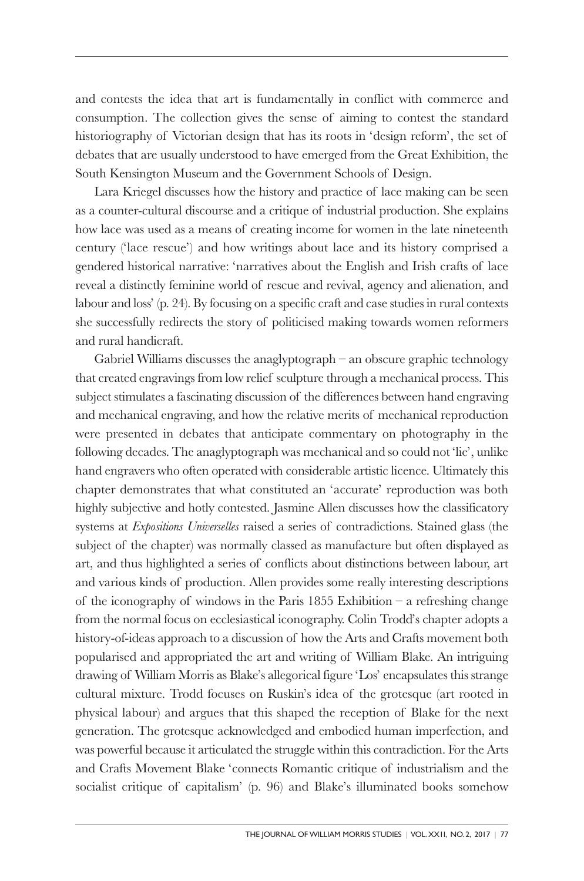and contests the idea that art is fundamentally in conflict with commerce and consumption. The collection gives the sense of aiming to contest the standard historiography of Victorian design that has its roots in 'design reform', the set of debates that are usually understood to have emerged from the Great Exhibition, the South Kensington Museum and the Government Schools of Design.

Lara Kriegel discusses how the history and practice of lace making can be seen as a counter-cultural discourse and a critique of industrial production. She explains how lace was used as a means of creating income for women in the late nineteenth century ('lace rescue') and how writings about lace and its history comprised a gendered historical narrative: 'narratives about the English and Irish crafts of lace reveal a distinctly feminine world of rescue and revival, agency and alienation, and labour and loss' (p. 24). By focusing on a specific craft and case studies in rural contexts she successfully redirects the story of politicised making towards women reformers and rural handicraft.

Gabriel Williams discusses the anaglyptograph – an obscure graphic technology that created engravings from low relief sculpture through a mechanical process. This subject stimulates a fascinating discussion of the differences between hand engraving and mechanical engraving, and how the relative merits of mechanical reproduction were presented in debates that anticipate commentary on photography in the following decades. The anaglyptograph was mechanical and so could not 'lie', unlike hand engravers who often operated with considerable artistic licence. Ultimately this chapter demonstrates that what constituted an 'accurate' reproduction was both highly subjective and hotly contested. Jasmine Allen discusses how the classificatory systems at *Expositions Universelles* raised a series of contradictions. Stained glass (the subject of the chapter) was normally classed as manufacture but often displayed as art, and thus highlighted a series of conflicts about distinctions between labour, art and various kinds of production. Allen provides some really interesting descriptions of the iconography of windows in the Paris 1855 Exhibition  $-$  a refreshing change from the normal focus on ecclesiastical iconography. Colin Trodd's chapter adopts a history-of-ideas approach to a discussion of how the Arts and Crafts movement both popularised and appropriated the art and writing of William Blake. An intriguing drawing of William Morris as Blake's allegorical figure 'Los' encapsulates this strange cultural mixture. Trodd focuses on Ruskin's idea of the grotesque (art rooted in physical labour) and argues that this shaped the reception of Blake for the next generation. The grotesque acknowledged and embodied human imperfection, and was powerful because it articulated the struggle within this contradiction. For the Arts and Crafts Movement Blake 'connects Romantic critique of industrialism and the socialist critique of capitalism' (p. 96) and Blake's illuminated books somehow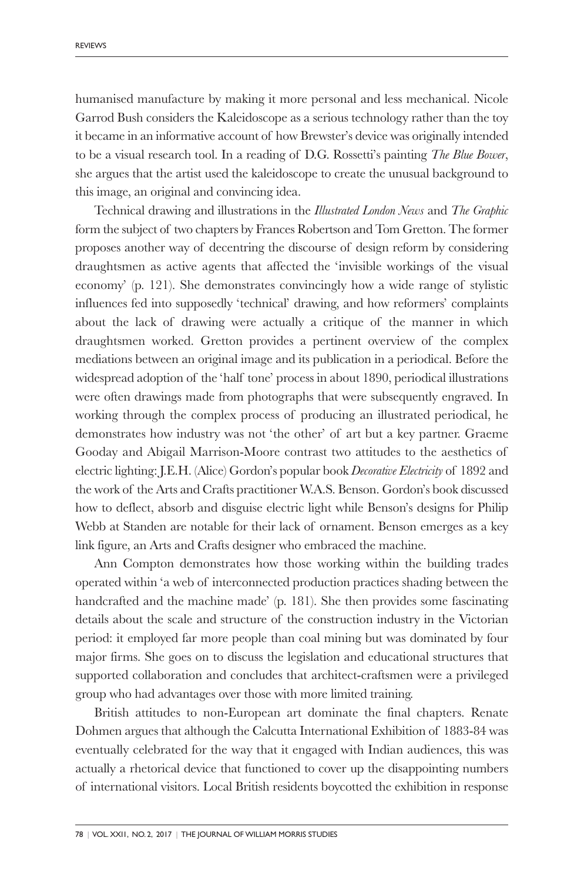humanised manufacture by making it more personal and less mechanical. Nicole Garrod Bush considers the Kaleidoscope as a serious technology rather than the toy it became in an informative account of how Brewster's device was originally intended to be a visual research tool. In a reading of D.G. Rossetti's painting *The Blue Bower*, she argues that the artist used the kaleidoscope to create the unusual background to this image, an original and convincing idea.

Technical drawing and illustrations in the *Illustrated London News* and *The Graphic* form the subject of two chapters by Frances Robertson and Tom Gretton. The former proposes another way of decentring the discourse of design reform by considering draughtsmen as active agents that affected the 'invisible workings of the visual economy' (p. 121). She demonstrates convincingly how a wide range of stylistic influences fed into supposedly 'technical' drawing, and how reformers' complaints about the lack of drawing were actually a critique of the manner in which draughtsmen worked. Gretton provides a pertinent overview of the complex mediations between an original image and its publication in a periodical. Before the widespread adoption of the 'half tone' process in about 1890, periodical illustrations were often drawings made from photographs that were subsequently engraved. In working through the complex process of producing an illustrated periodical, he demonstrates how industry was not 'the other' of art but a key partner. Graeme Gooday and Abigail Marrison-Moore contrast two attitudes to the aesthetics of electric lighting: J.E.H. (Alice) Gordon's popular book *Decorative Electricity* of 1892 and the work of the Arts and Crafts practitioner W.A.S. Benson. Gordon's book discussed how to deflect, absorb and disguise electric light while Benson's designs for Philip Webb at Standen are notable for their lack of ornament. Benson emerges as a key link figure, an Arts and Crafts designer who embraced the machine.

Ann Compton demonstrates how those working within the building trades operated within 'a web of interconnected production practices shading between the handcrafted and the machine made' (p. 181). She then provides some fascinating details about the scale and structure of the construction industry in the Victorian period: it employed far more people than coal mining but was dominated by four major firms. She goes on to discuss the legislation and educational structures that supported collaboration and concludes that architect-craftsmen were a privileged group who had advantages over those with more limited training.

British attitudes to non-European art dominate the final chapters. Renate Dohmen argues that although the Calcutta International Exhibition of 1883-84 was eventually celebrated for the way that it engaged with Indian audiences, this was actually a rhetorical device that functioned to cover up the disappointing numbers of international visitors. Local British residents boycotted the exhibition in response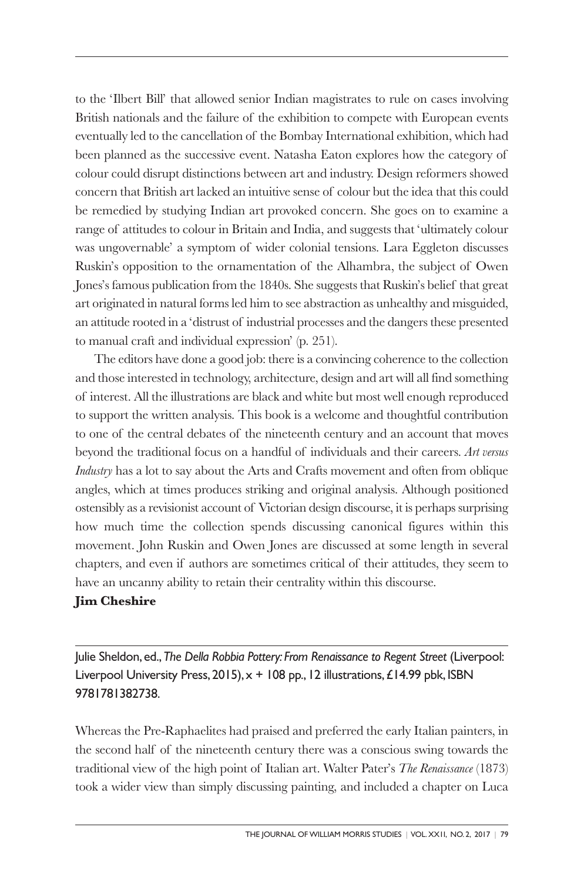to the 'Ilbert Bill' that allowed senior Indian magistrates to rule on cases involving British nationals and the failure of the exhibition to compete with European events eventually led to the cancellation of the Bombay International exhibition, which had been planned as the successive event. Natasha Eaton explores how the category of colour could disrupt distinctions between art and industry. Design reformers showed concern that British art lacked an intuitive sense of colour but the idea that this could be remedied by studying Indian art provoked concern. She goes on to examine a range of attitudes to colour in Britain and India, and suggests that 'ultimately colour was ungovernable' a symptom of wider colonial tensions. Lara Eggleton discusses Ruskin's opposition to the ornamentation of the Alhambra, the subject of Owen Jones's famous publication from the 1840s. She suggests that Ruskin's belief that great art originated in natural forms led him to see abstraction as unhealthy and misguided, an attitude rooted in a 'distrust of industrial processes and the dangers these presented to manual craft and individual expression' (p. 251).

The editors have done a good job: there is a convincing coherence to the collection and those interested in technology, architecture, design and art will all find something of interest. All the illustrations are black and white but most well enough reproduced to support the written analysis. This book is a welcome and thoughtful contribution to one of the central debates of the nineteenth century and an account that moves beyond the traditional focus on a handful of individuals and their careers. *Art versus Industry* has a lot to say about the Arts and Crafts movement and often from oblique angles, which at times produces striking and original analysis. Although positioned ostensibly as a revisionist account of Victorian design discourse, it is perhaps surprising how much time the collection spends discussing canonical figures within this movement. John Ruskin and Owen Jones are discussed at some length in several chapters, and even if authors are sometimes critical of their attitudes, they seem to have an uncanny ability to retain their centrality within this discourse.

### **Jim Cheshire**

Julie Sheldon, ed.,*The Della Robbia Pottery: From Renaissance to Regent Street* (Liverpool: Liverpool University Press, 2015),  $x + 108$  pp., 12 illustrations, £14.99 pbk, ISBN 9781781382738.

Whereas the Pre-Raphaelites had praised and preferred the early Italian painters, in the second half of the nineteenth century there was a conscious swing towards the traditional view of the high point of Italian art. Walter Pater's *The Renaissance* (1873) took a wider view than simply discussing painting, and included a chapter on Luca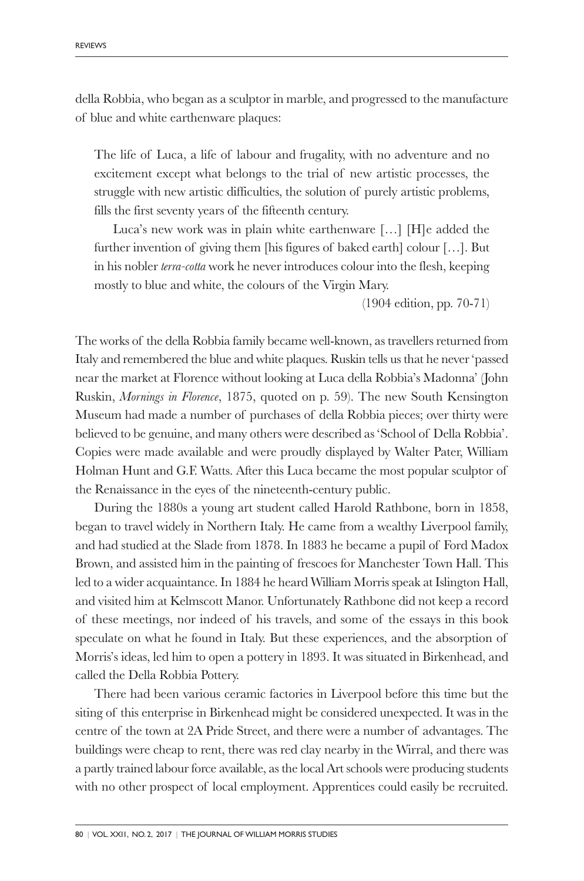della Robbia, who began as a sculptor in marble, and progressed to the manufacture of blue and white earthenware plaques:

The life of Luca, a life of labour and frugality, with no adventure and no excitement except what belongs to the trial of new artistic processes, the struggle with new artistic difficulties, the solution of purely artistic problems, fills the first seventy years of the fifteenth century.

Luca's new work was in plain white earthenware […] [H]e added the further invention of giving them [his figures of baked earth] colour […]. But in his nobler *terra-cotta* work he never introduces colour into the flesh, keeping mostly to blue and white, the colours of the Virgin Mary.

(1904 edition, pp. 70-71)

The works of the della Robbia family became well-known, as travellers returned from Italy and remembered the blue and white plaques. Ruskin tells us that he never 'passed near the market at Florence without looking at Luca della Robbia's Madonna' (John Ruskin, *Mornings in Florence*, 1875, quoted on p. 59). The new South Kensington Museum had made a number of purchases of della Robbia pieces; over thirty were believed to be genuine, and many others were described as 'School of Della Robbia'. Copies were made available and were proudly displayed by Walter Pater, William Holman Hunt and G.F. Watts. After this Luca became the most popular sculptor of the Renaissance in the eyes of the nineteenth-century public.

During the 1880s a young art student called Harold Rathbone, born in 1858, began to travel widely in Northern Italy. He came from a wealthy Liverpool family, and had studied at the Slade from 1878. In 1883 he became a pupil of Ford Madox Brown, and assisted him in the painting of frescoes for Manchester Town Hall. This led to a wider acquaintance. In 1884 he heard William Morris speak at Islington Hall, and visited him at Kelmscott Manor. Unfortunately Rathbone did not keep a record of these meetings, nor indeed of his travels, and some of the essays in this book speculate on what he found in Italy. But these experiences, and the absorption of Morris's ideas, led him to open a pottery in 1893. It was situated in Birkenhead, and called the Della Robbia Pottery.

There had been various ceramic factories in Liverpool before this time but the siting of this enterprise in Birkenhead might be considered unexpected. It was in the centre of the town at 2A Pride Street, and there were a number of advantages. The buildings were cheap to rent, there was red clay nearby in the Wirral, and there was a partly trained labour force available, as the local Art schools were producing students with no other prospect of local employment. Apprentices could easily be recruited.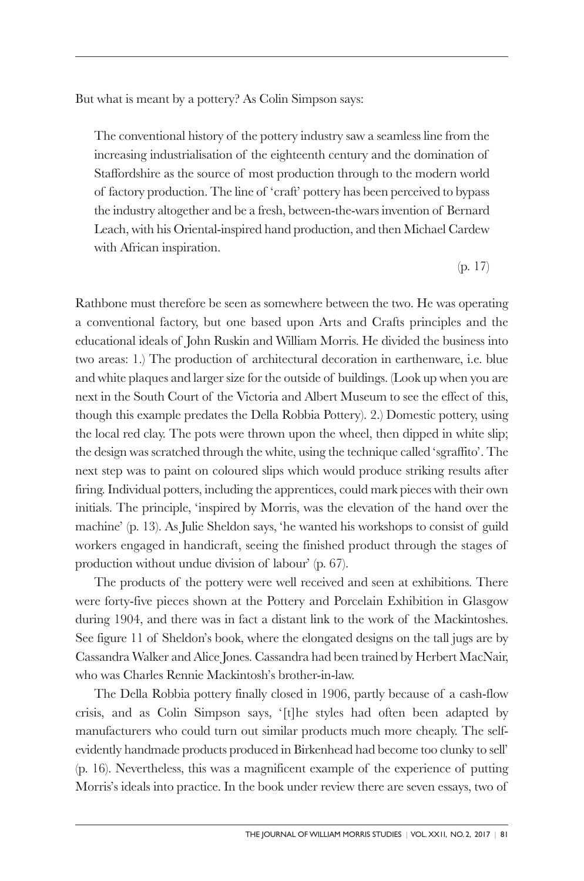But what is meant by a pottery? As Colin Simpson says:

The conventional history of the pottery industry saw a seamless line from the increasing industrialisation of the eighteenth century and the domination of Staffordshire as the source of most production through to the modern world of factory production. The line of 'craft' pottery has been perceived to bypass the industry altogether and be a fresh, between-the-wars invention of Bernard Leach, with his Oriental-inspired hand production, and then Michael Cardew with African inspiration.

(p. 17)

Rathbone must therefore be seen as somewhere between the two. He was operating a conventional factory, but one based upon Arts and Crafts principles and the educational ideals of John Ruskin and William Morris. He divided the business into two areas: 1.) The production of architectural decoration in earthenware, i.e. blue and white plaques and larger size for the outside of buildings. (Look up when you are next in the South Court of the Victoria and Albert Museum to see the effect of this, though this example predates the Della Robbia Pottery). 2.) Domestic pottery, using the local red clay. The pots were thrown upon the wheel, then dipped in white slip; the design was scratched through the white, using the technique called 'sgraffito'. The next step was to paint on coloured slips which would produce striking results after firing. Individual potters, including the apprentices, could mark pieces with their own initials. The principle, 'inspired by Morris, was the elevation of the hand over the machine' (p. 13). As Julie Sheldon says, 'he wanted his workshops to consist of guild workers engaged in handicraft, seeing the finished product through the stages of production without undue division of labour' (p. 67).

The products of the pottery were well received and seen at exhibitions. There were forty-five pieces shown at the Pottery and Porcelain Exhibition in Glasgow during 1904, and there was in fact a distant link to the work of the Mackintoshes. See figure 11 of Sheldon's book, where the elongated designs on the tall jugs are by Cassandra Walker and Alice Jones. Cassandra had been trained by Herbert MacNair, who was Charles Rennie Mackintosh's brother-in-law.

The Della Robbia pottery finally closed in 1906, partly because of a cash-flow crisis, and as Colin Simpson says, '[t]he styles had often been adapted by manufacturers who could turn out similar products much more cheaply. The selfevidently handmade products produced in Birkenhead had become too clunky to sell' (p. 16). Nevertheless, this was a magnificent example of the experience of putting Morris's ideals into practice. In the book under review there are seven essays, two of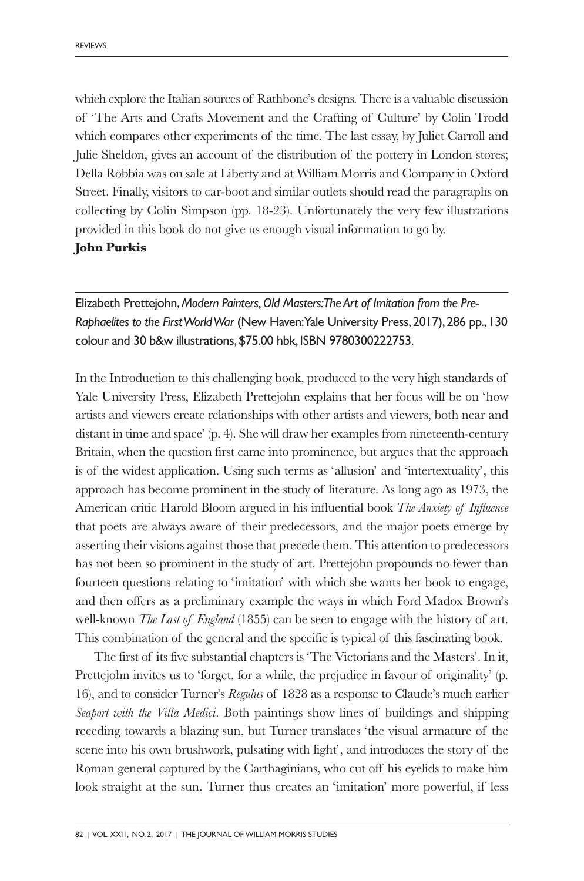which explore the Italian sources of Rathbone's designs. There is a valuable discussion of 'The Arts and Crafts Movement and the Crafting of Culture' by Colin Trodd which compares other experiments of the time. The last essay, by Juliet Carroll and Julie Sheldon, gives an account of the distribution of the pottery in London stores; Della Robbia was on sale at Liberty and at William Morris and Company in Oxford Street. Finally, visitors to car-boot and similar outlets should read the paragraphs on collecting by Colin Simpson (pp. 18-23). Unfortunately the very few illustrations provided in this book do not give us enough visual information to go by.

#### **John Purkis**

Elizabeth Prettejohn,*Modern Painters,Old Masters:The Art of Imitation from the Pre-Raphaelites to the FirstWorldWar* (New Haven:Yale University Press, 2017), 286 pp., 130 colour and 30 b&w illustrations,\$75.00 hbk, ISBN 9780300222753.

In the Introduction to this challenging book, produced to the very high standards of Yale University Press, Elizabeth Prettejohn explains that her focus will be on 'how artists and viewers create relationships with other artists and viewers, both near and distant in time and space' (p. 4). She will draw her examples from nineteenth-century Britain, when the question first came into prominence, but argues that the approach is of the widest application. Using such terms as 'allusion' and 'intertextuality', this approach has become prominent in the study of literature. As long ago as 1973, the American critic Harold Bloom argued in his influential book *The Anxiety of Influence* that poets are always aware of their predecessors, and the major poets emerge by asserting their visions against those that precede them. This attention to predecessors has not been so prominent in the study of art. Prettejohn propounds no fewer than fourteen questions relating to 'imitation' with which she wants her book to engage, and then offers as a preliminary example the ways in which Ford Madox Brown's well-known *The Last of England* (1855) can be seen to engage with the history of art. This combination of the general and the specific is typical of this fascinating book.

The first of its five substantial chapters is 'The Victorians and the Masters'. In it, Prettejohn invites us to 'forget, for a while, the prejudice in favour of originality' (p. 16), and to consider Turner's *Regulus* of 1828 as a response to Claude's much earlier *Seaport with the Villa Medici*. Both paintings show lines of buildings and shipping receding towards a blazing sun, but Turner translates 'the visual armature of the scene into his own brushwork, pulsating with light', and introduces the story of the Roman general captured by the Carthaginians, who cut off his eyelids to make him look straight at the sun. Turner thus creates an 'imitation' more powerful, if less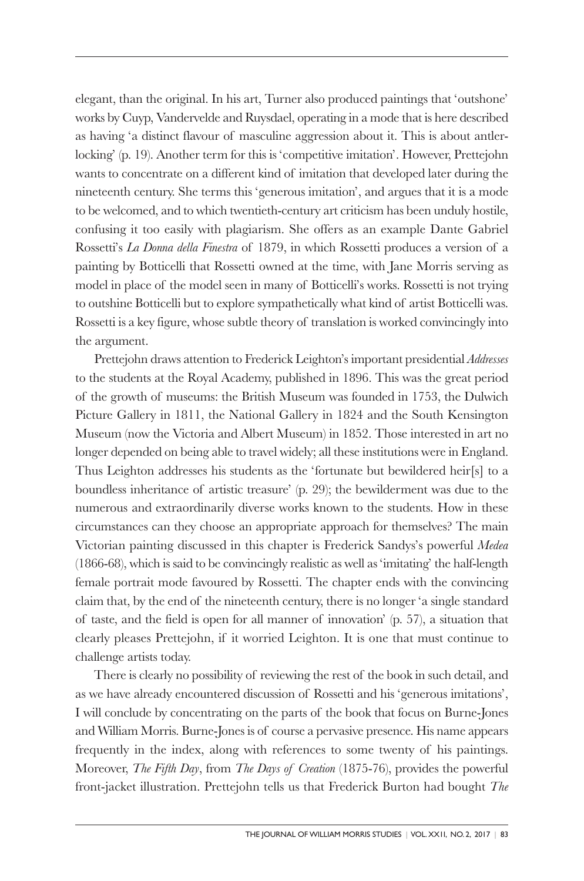elegant, than the original. In his art, Turner also produced paintings that 'outshone' works by Cuyp, Vandervelde and Ruysdael, operating in a mode that is here described as having 'a distinct flavour of masculine aggression about it. This is about antlerlocking' (p. 19). Another term for this is 'competitive imitation'. However, Prettejohn wants to concentrate on a different kind of imitation that developed later during the nineteenth century. She terms this 'generous imitation', and argues that it is a mode to be welcomed, and to which twentieth-century art criticism has been unduly hostile, confusing it too easily with plagiarism. She offers as an example Dante Gabriel Rossetti's *La Donna della Finestra* of 1879, in which Rossetti produces a version of a painting by Botticelli that Rossetti owned at the time, with Jane Morris serving as model in place of the model seen in many of Botticelli's works. Rossetti is not trying to outshine Botticelli but to explore sympathetically what kind of artist Botticelli was. Rossetti is a key figure, whose subtle theory of translation is worked convincingly into the argument.

Prettejohn draws attention to Frederick Leighton's important presidential *Addresses* to the students at the Royal Academy, published in 1896. This was the great period of the growth of museums: the British Museum was founded in 1753, the Dulwich Picture Gallery in 1811, the National Gallery in 1824 and the South Kensington Museum (now the Victoria and Albert Museum) in 1852. Those interested in art no longer depended on being able to travel widely; all these institutions were in England. Thus Leighton addresses his students as the 'fortunate but bewildered heir[s] to a boundless inheritance of artistic treasure' (p. 29); the bewilderment was due to the numerous and extraordinarily diverse works known to the students. How in these circumstances can they choose an appropriate approach for themselves? The main Victorian painting discussed in this chapter is Frederick Sandys's powerful *Medea* (1866-68), which is said to be convincingly realistic as well as 'imitating' the half-length female portrait mode favoured by Rossetti. The chapter ends with the convincing claim that, by the end of the nineteenth century, there is no longer 'a single standard of taste, and the field is open for all manner of innovation' (p. 57), a situation that clearly pleases Prettejohn, if it worried Leighton. It is one that must continue to challenge artists today.

There is clearly no possibility of reviewing the rest of the book in such detail, and as we have already encountered discussion of Rossetti and his 'generous imitations', I will conclude by concentrating on the parts of the book that focus on Burne-Jones and William Morris. Burne-Jones is of course a pervasive presence. His name appears frequently in the index, along with references to some twenty of his paintings. Moreover, *The Fifth Day*, from *The Days of Creation* (1875-76), provides the powerful front-jacket illustration. Prettejohn tells us that Frederick Burton had bought *The*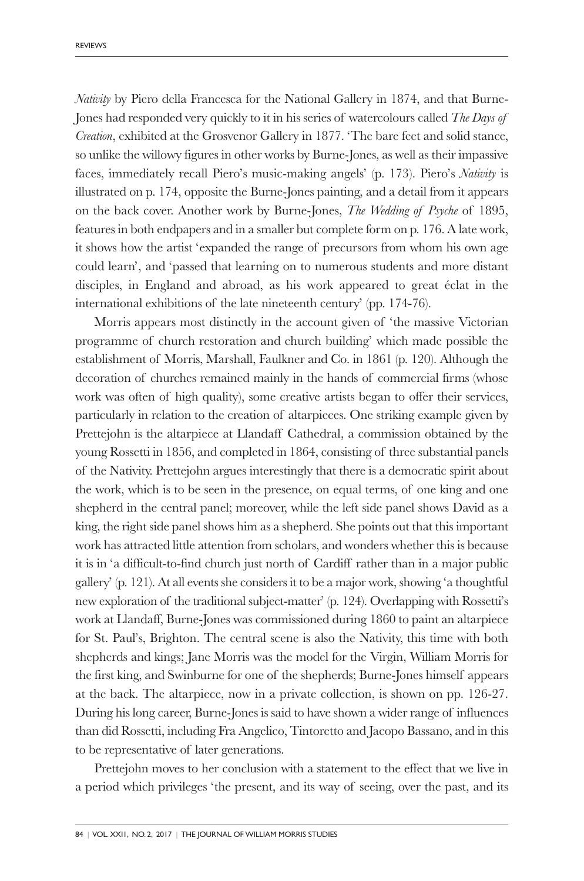*Nativity* by Piero della Francesca for the National Gallery in 1874, and that Burne-Jones had responded very quickly to it in his series of watercolours called *The Days of Creation*, exhibited at the Grosvenor Gallery in 1877. 'The bare feet and solid stance, so unlike the willowy figures in other works by Burne-Jones, as well as their impassive faces, immediately recall Piero's music-making angels' (p. 173). Piero's *Nativity* is illustrated on p. 174, opposite the Burne-Jones painting, and a detail from it appears on the back cover. Another work by Burne-Jones, *The Wedding of Psyche* of 1895, features in both endpapers and in a smaller but complete form on p. 176. A late work, it shows how the artist 'expanded the range of precursors from whom his own age could learn', and 'passed that learning on to numerous students and more distant disciples, in England and abroad, as his work appeared to great éclat in the international exhibitions of the late nineteenth century' (pp. 174-76).

Morris appears most distinctly in the account given of 'the massive Victorian programme of church restoration and church building' which made possible the establishment of Morris, Marshall, Faulkner and Co. in 1861 (p. 120). Although the decoration of churches remained mainly in the hands of commercial firms (whose work was often of high quality), some creative artists began to offer their services, particularly in relation to the creation of altarpieces. One striking example given by Prettejohn is the altarpiece at Llandaff Cathedral, a commission obtained by the young Rossetti in 1856, and completed in 1864, consisting of three substantial panels of the Nativity. Prettejohn argues interestingly that there is a democratic spirit about the work, which is to be seen in the presence, on equal terms, of one king and one shepherd in the central panel; moreover, while the left side panel shows David as a king, the right side panel shows him as a shepherd. She points out that this important work has attracted little attention from scholars, and wonders whether this is because it is in 'a difficult-to-find church just north of Cardiff rather than in a major public gallery' (p. 121). At all events she considers it to be a major work, showing 'a thoughtful new exploration of the traditional subject-matter' (p. 124). Overlapping with Rossetti's work at Llandaff, Burne-Jones was commissioned during 1860 to paint an altarpiece for St. Paul's, Brighton. The central scene is also the Nativity, this time with both shepherds and kings; Jane Morris was the model for the Virgin, William Morris for the first king, and Swinburne for one of the shepherds; Burne-Jones himself appears at the back. The altarpiece, now in a private collection, is shown on pp. 126-27. During his long career, Burne-Jones is said to have shown a wider range of influences than did Rossetti, including Fra Angelico, Tintoretto and Jacopo Bassano, and in this to be representative of later generations.

Prettejohn moves to her conclusion with a statement to the effect that we live in a period which privileges 'the present, and its way of seeing, over the past, and its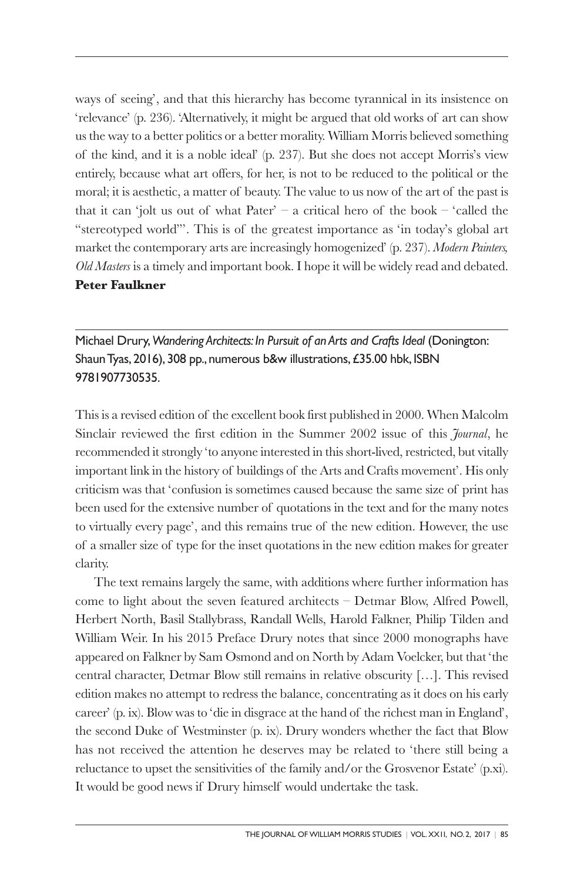ways of seeing', and that this hierarchy has become tyrannical in its insistence on 'relevance' (p. 236). 'Alternatively, it might be argued that old works of art can show us the way to a better politics or a better morality. William Morris believed something of the kind, and it is a noble ideal' (p. 237). But she does not accept Morris's view entirely, because what art offers, for her, is not to be reduced to the political or the moral; it is aesthetic, a matter of beauty. The value to us now of the art of the past is that it can 'jolt us out of what  $Pater' - a$  critical hero of the book – 'called the "stereotyped world"'. This is of the greatest importance as 'in today's global art market the contemporary arts are increasingly homogenized' (p. 237). *Modern Painters, Old Masters* is a timely and important book. I hope it will be widely read and debated. **Peter Faulkner**

Michael Drury,*Wandering Architects: In Pursuit of an Arts and Crafts Ideal* (Donington: ShaunTyas, 2016), 308 pp., numerous b&w illustrations,£35.00 hbk, ISBN 9781907730535.

This is a revised edition of the excellent book first published in 2000. When Malcolm Sinclair reviewed the first edition in the Summer 2002 issue of this *Journal*, he recommended it strongly 'to anyone interested in this short-lived, restricted, but vitally important link in the history of buildings of the Arts and Crafts movement'. His only criticism was that 'confusion is sometimes caused because the same size of print has been used for the extensive number of quotations in the text and for the many notes to virtually every page', and this remains true of the new edition. However, the use of a smaller size of type for the inset quotations in the new edition makes for greater clarity.

The text remains largely the same, with additions where further information has come to light about the seven featured architects – Detmar Blow, Alfred Powell, Herbert North, Basil Stallybrass, Randall Wells, Harold Falkner, Philip Tilden and William Weir. In his 2015 Preface Drury notes that since 2000 monographs have appeared on Falkner by Sam Osmond and on North by Adam Voelcker, but that 'the central character, Detmar Blow still remains in relative obscurity […]. This revised edition makes no attempt to redress the balance, concentrating as it does on his early career' (p. ix). Blow was to 'die in disgrace at the hand of the richest man in England', the second Duke of Westminster (p. ix). Drury wonders whether the fact that Blow has not received the attention he deserves may be related to 'there still being a reluctance to upset the sensitivities of the family and/or the Grosvenor Estate' (p.xi). It would be good news if Drury himself would undertake the task.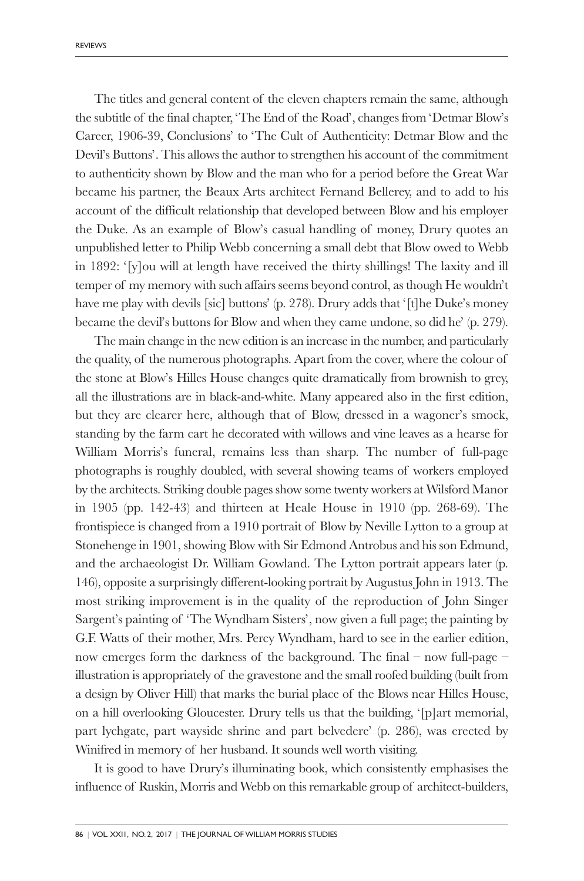The titles and general content of the eleven chapters remain the same, although the subtitle of the final chapter, 'The End of the Road', changes from 'Detmar Blow's Career, 1906-39, Conclusions' to 'The Cult of Authenticity: Detmar Blow and the Devil's Buttons'. This allows the author to strengthen his account of the commitment to authenticity shown by Blow and the man who for a period before the Great War became his partner, the Beaux Arts architect Fernand Bellerey, and to add to his account of the difficult relationship that developed between Blow and his employer the Duke. As an example of Blow's casual handling of money, Drury quotes an unpublished letter to Philip Webb concerning a small debt that Blow owed to Webb in 1892: '[y]ou will at length have received the thirty shillings! The laxity and ill temper of my memory with such affairs seems beyond control, as though He wouldn't have me play with devils [sic] buttons' (p. 278). Drury adds that '[t]he Duke's money became the devil's buttons for Blow and when they came undone, so did he' (p. 279).

The main change in the new edition is an increase in the number, and particularly the quality, of the numerous photographs. Apart from the cover, where the colour of the stone at Blow's Hilles House changes quite dramatically from brownish to grey, all the illustrations are in black-and-white. Many appeared also in the first edition, but they are clearer here, although that of Blow, dressed in a wagoner's smock, standing by the farm cart he decorated with willows and vine leaves as a hearse for William Morris's funeral, remains less than sharp. The number of full-page photographs is roughly doubled, with several showing teams of workers employed by the architects. Striking double pages show some twenty workers at Wilsford Manor in 1905 (pp. 142-43) and thirteen at Heale House in 1910 (pp. 268-69). The frontispiece is changed from a 1910 portrait of Blow by Neville Lytton to a group at Stonehenge in 1901, showing Blow with Sir Edmond Antrobus and his son Edmund, and the archaeologist Dr. William Gowland. The Lytton portrait appears later (p. 146), opposite a surprisingly different-looking portrait by Augustus John in 1913. The most striking improvement is in the quality of the reproduction of John Singer Sargent's painting of 'The Wyndham Sisters', now given a full page; the painting by G.F. Watts of their mother, Mrs. Percy Wyndham, hard to see in the earlier edition, now emerges form the darkness of the background. The final – now full-page – illustration is appropriately of the gravestone and the small roofed building (built from a design by Oliver Hill) that marks the burial place of the Blows near Hilles House, on a hill overlooking Gloucester. Drury tells us that the building, '[p]art memorial, part lychgate, part wayside shrine and part belvedere' (p. 286), was erected by Winifred in memory of her husband. It sounds well worth visiting.

It is good to have Drury's illuminating book, which consistently emphasises the influence of Ruskin, Morris and Webb on this remarkable group of architect-builders,